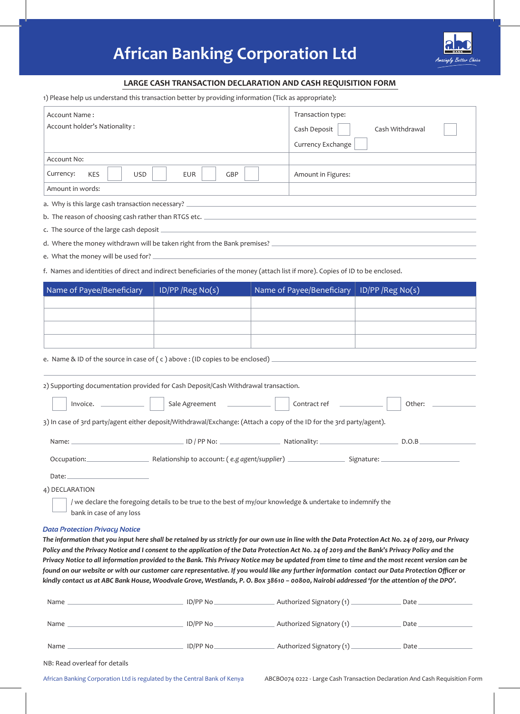## **African Banking Corporation Ltd**



## **LARGE CASH TRANSACTION DECLARATION AND CASH REQUISITION FORM**

1) Please help us understand this transaction better by providing information (Tick as appropriate):

| Account Name:                                                                      |            |                   |                                 |  | Transaction type:                                                                                                             |                                                                                                                                                                                                                                                                                                   |  |
|------------------------------------------------------------------------------------|------------|-------------------|---------------------------------|--|-------------------------------------------------------------------------------------------------------------------------------|---------------------------------------------------------------------------------------------------------------------------------------------------------------------------------------------------------------------------------------------------------------------------------------------------|--|
| Account holder's Nationality:                                                      |            |                   | Cash Deposit<br>Cash Withdrawal |  |                                                                                                                               |                                                                                                                                                                                                                                                                                                   |  |
|                                                                                    |            |                   |                                 |  | Currency Exchange                                                                                                             |                                                                                                                                                                                                                                                                                                   |  |
| Account No:                                                                        |            |                   |                                 |  |                                                                                                                               |                                                                                                                                                                                                                                                                                                   |  |
| Currency:<br><b>KES</b>                                                            | <b>USD</b> | <b>EUR</b>        | GBP                             |  | Amount in Figures:                                                                                                            |                                                                                                                                                                                                                                                                                                   |  |
| Amount in words:                                                                   |            |                   |                                 |  |                                                                                                                               |                                                                                                                                                                                                                                                                                                   |  |
|                                                                                    |            |                   |                                 |  |                                                                                                                               |                                                                                                                                                                                                                                                                                                   |  |
|                                                                                    |            |                   |                                 |  |                                                                                                                               |                                                                                                                                                                                                                                                                                                   |  |
|                                                                                    |            |                   |                                 |  |                                                                                                                               |                                                                                                                                                                                                                                                                                                   |  |
|                                                                                    |            |                   |                                 |  |                                                                                                                               | d. Where the money withdrawn will be taken right from the Bank premises?<br>The money withdrawn will be taken right from the Bank premises?<br>The money and the money withdrawn will be taken right from the Bank premises?                                                                      |  |
|                                                                                    |            |                   |                                 |  |                                                                                                                               |                                                                                                                                                                                                                                                                                                   |  |
|                                                                                    |            |                   |                                 |  | f. Names and identities of direct and indirect beneficiaries of the money (attach list if more). Copies of ID to be enclosed. |                                                                                                                                                                                                                                                                                                   |  |
|                                                                                    |            |                   |                                 |  |                                                                                                                               |                                                                                                                                                                                                                                                                                                   |  |
| Name of Payee/Beneficiary                                                          |            | ID/PP / Reg No(s) |                                 |  | Name of Payee/Beneficiary   ID/PP / Reg No(s)                                                                                 |                                                                                                                                                                                                                                                                                                   |  |
|                                                                                    |            |                   |                                 |  |                                                                                                                               |                                                                                                                                                                                                                                                                                                   |  |
|                                                                                    |            |                   |                                 |  |                                                                                                                               |                                                                                                                                                                                                                                                                                                   |  |
|                                                                                    |            |                   |                                 |  |                                                                                                                               |                                                                                                                                                                                                                                                                                                   |  |
|                                                                                    |            |                   |                                 |  |                                                                                                                               |                                                                                                                                                                                                                                                                                                   |  |
|                                                                                    |            |                   |                                 |  |                                                                                                                               | e. Name & ID of the source in case of (c) above: (ID copies to be enclosed)                                                                                                                                                                                                                       |  |
|                                                                                    |            |                   |                                 |  |                                                                                                                               |                                                                                                                                                                                                                                                                                                   |  |
| 2) Supporting documentation provided for Cash Deposit/Cash Withdrawal transaction. |            |                   |                                 |  |                                                                                                                               |                                                                                                                                                                                                                                                                                                   |  |
| Invoice.                                                                           |            | Sale Agreement    |                                 |  | Contract ref                                                                                                                  | Other:                                                                                                                                                                                                                                                                                            |  |
|                                                                                    |            |                   |                                 |  | 3) In case of 3rd party/agent either deposit/Withdrawal/Exchange: (Attach a copy of the ID for the 3rd party/agent).          |                                                                                                                                                                                                                                                                                                   |  |
|                                                                                    |            |                   |                                 |  |                                                                                                                               |                                                                                                                                                                                                                                                                                                   |  |
|                                                                                    |            |                   |                                 |  |                                                                                                                               | D.O.B                                                                                                                                                                                                                                                                                             |  |
| Occupation: Relationship to account: (e.g agent/supplier) Cocupation: Cocupation:  |            |                   |                                 |  |                                                                                                                               |                                                                                                                                                                                                                                                                                                   |  |
| Date: $\_$                                                                         |            |                   |                                 |  |                                                                                                                               |                                                                                                                                                                                                                                                                                                   |  |
| 4) DECLARATION                                                                     |            |                   |                                 |  |                                                                                                                               |                                                                                                                                                                                                                                                                                                   |  |
|                                                                                    |            |                   |                                 |  | / we declare the foregoing details to be true to the best of my/our knowledge & undertake to indemnify the                    |                                                                                                                                                                                                                                                                                                   |  |
| bank in case of any loss                                                           |            |                   |                                 |  |                                                                                                                               |                                                                                                                                                                                                                                                                                                   |  |
| <b>Data Protection Privacy Notice</b>                                              |            |                   |                                 |  |                                                                                                                               |                                                                                                                                                                                                                                                                                                   |  |
|                                                                                    |            |                   |                                 |  |                                                                                                                               | The information that you input here shall be retained by us strictly for our own use in line with the Data Protection Act No. 24 of 2019, our Privacy                                                                                                                                             |  |
|                                                                                    |            |                   |                                 |  |                                                                                                                               | Policy and the Privacy Notice and I consent to the application of the Data Protection Act No. 24 of 2019 and the Bank's Privacy Policy and the<br>Privacy Notice to all information provided to the Bank. This Privacy Notice may be updated from time to time and the most recent version can be |  |
|                                                                                    |            |                   |                                 |  |                                                                                                                               | found on our website or with our customer care representative. If you would like any further information contact our Data Protection Officer or                                                                                                                                                   |  |
|                                                                                    |            |                   |                                 |  |                                                                                                                               | kindly contact us at ABC Bank House, Woodvale Grove, Westlands, P. O. Box 38610 - 00800, Nairobi addressed 'for the attention of the DPO'.                                                                                                                                                        |  |
|                                                                                    |            |                   |                                 |  |                                                                                                                               |                                                                                                                                                                                                                                                                                                   |  |
|                                                                                    |            |                   |                                 |  |                                                                                                                               |                                                                                                                                                                                                                                                                                                   |  |
|                                                                                    |            |                   |                                 |  |                                                                                                                               |                                                                                                                                                                                                                                                                                                   |  |
|                                                                                    |            |                   |                                 |  |                                                                                                                               | $\begin{tabular}{c} Date \end{tabular}$                                                                                                                                                                                                                                                           |  |
|                                                                                    |            |                   |                                 |  |                                                                                                                               |                                                                                                                                                                                                                                                                                                   |  |

| NB: Read overleaf for details |
|-------------------------------|
|-------------------------------|

African Banking Corporation Ltd is regulated by the Central Bank of Kenya ABCBO074 0222 - Large Cash Transaction Declaration And Cash Requisition Form